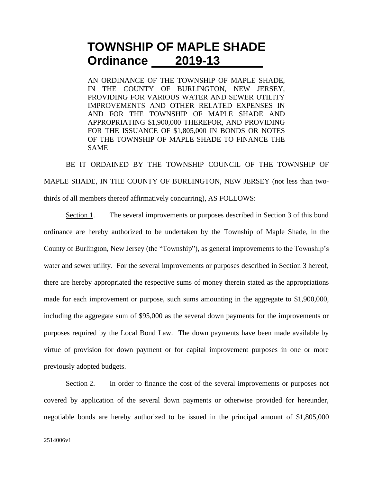# **TOWNSHIP OF MAPLE SHADE Ordinance 2019-13**

AN ORDINANCE OF THE TOWNSHIP OF MAPLE SHADE, IN THE COUNTY OF BURLINGTON, NEW JERSEY, PROVIDING FOR VARIOUS WATER AND SEWER UTILITY IMPROVEMENTS AND OTHER RELATED EXPENSES IN AND FOR THE TOWNSHIP OF MAPLE SHADE AND APPROPRIATING \$1,900,000 THEREFOR, AND PROVIDING FOR THE ISSUANCE OF \$1,805,000 IN BONDS OR NOTES OF THE TOWNSHIP OF MAPLE SHADE TO FINANCE THE SAME

BE IT ORDAINED BY THE TOWNSHIP COUNCIL OF THE TOWNSHIP OF MAPLE SHADE, IN THE COUNTY OF BURLINGTON, NEW JERSEY (not less than twothirds of all members thereof affirmatively concurring), AS FOLLOWS:

Section 1. The several improvements or purposes described in Section 3 of this bond ordinance are hereby authorized to be undertaken by the Township of Maple Shade, in the County of Burlington, New Jersey (the "Township"), as general improvements to the Township's water and sewer utility. For the several improvements or purposes described in Section 3 hereof, there are hereby appropriated the respective sums of money therein stated as the appropriations made for each improvement or purpose, such sums amounting in the aggregate to \$1,900,000, including the aggregate sum of \$95,000 as the several down payments for the improvements or purposes required by the Local Bond Law. The down payments have been made available by virtue of provision for down payment or for capital improvement purposes in one or more previously adopted budgets.

Section 2. In order to finance the cost of the several improvements or purposes not covered by application of the several down payments or otherwise provided for hereunder, negotiable bonds are hereby authorized to be issued in the principal amount of \$1,805,000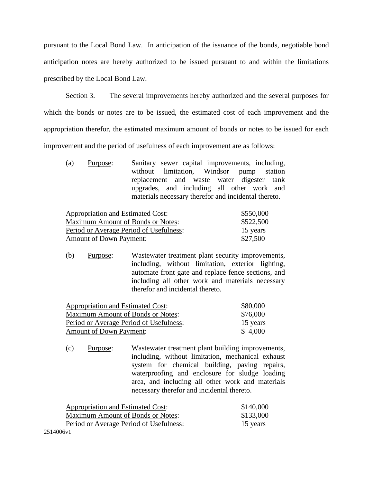pursuant to the Local Bond Law. In anticipation of the issuance of the bonds, negotiable bond anticipation notes are hereby authorized to be issued pursuant to and within the limitations prescribed by the Local Bond Law.

Section 3. The several improvements hereby authorized and the several purposes for which the bonds or notes are to be issued, the estimated cost of each improvement and the appropriation therefor, the estimated maximum amount of bonds or notes to be issued for each improvement and the period of usefulness of each improvement are as follows:

(a) Purpose: Sanitary sewer capital improvements, including, without limitation, Windsor pump station replacement and waste water digester tank upgrades, and including all other work and materials necessary therefor and incidental thereto.

| Appropriation and Estimated Cost:        | \$550,000 |
|------------------------------------------|-----------|
| <b>Maximum Amount of Bonds or Notes:</b> | \$522,500 |
| Period or Average Period of Usefulness:  | 15 years  |
| <b>Amount of Down Payment:</b>           | \$27,500  |

(b) Purpose: Wastewater treatment plant security improvements, including, without limitation, exterior lighting, automate front gate and replace fence sections, and including all other work and materials necessary therefor and incidental thereto.

| Appropriation and Estimated Cost:        | \$80,000 |
|------------------------------------------|----------|
| <b>Maximum Amount of Bonds or Notes:</b> | \$76,000 |
| Period or Average Period of Usefulness:  | 15 years |
| <b>Amount of Down Payment:</b>           | \$4,000  |

(c) Purpose: Wastewater treatment plant building improvements, including, without limitation, mechanical exhaust system for chemical building, paving repairs, waterproofing and enclosure for sludge loading area, and including all other work and materials necessary therefor and incidental thereto.

| Appropriation and Estimated Cost:        | \$140,000 |
|------------------------------------------|-----------|
| <b>Maximum Amount of Bonds or Notes:</b> | \$133,000 |
| Period or Average Period of Usefulness:  | 15 years  |
| 2514006y1                                |           |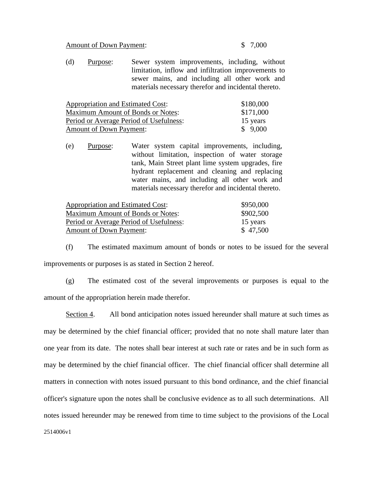Amount of Down Payment:  $$ 7,000$ 

(d) Purpose: Sewer system improvements, including, without limitation, inflow and infiltration improvements to sewer mains, and including all other work and materials necessary therefor and incidental thereto.

| Appropriation and Estimated Cost:        | \$180,000 |
|------------------------------------------|-----------|
| <b>Maximum Amount of Bonds or Notes:</b> | \$171,000 |
| Period or Average Period of Usefulness:  | 15 years  |
| <b>Amount of Down Payment:</b>           | \$9,000   |

(e) Purpose: Water system capital improvements, including, without limitation, inspection of water storage tank, Main Street plant lime system upgrades, fire hydrant replacement and cleaning and replacing water mains, and including all other work and materials necessary therefor and incidental thereto.

| Appropriation and Estimated Cost:        | \$950,000 |
|------------------------------------------|-----------|
| <b>Maximum Amount of Bonds or Notes:</b> | \$902,500 |
| Period or Average Period of Usefulness:  | 15 years  |
| <b>Amount of Down Payment:</b>           | \$47,500  |
|                                          |           |

(f) The estimated maximum amount of bonds or notes to be issued for the several improvements or purposes is as stated in Section 2 hereof.

(g) The estimated cost of the several improvements or purposes is equal to the amount of the appropriation herein made therefor.

Section 4. All bond anticipation notes issued hereunder shall mature at such times as may be determined by the chief financial officer; provided that no note shall mature later than one year from its date. The notes shall bear interest at such rate or rates and be in such form as may be determined by the chief financial officer. The chief financial officer shall determine all matters in connection with notes issued pursuant to this bond ordinance, and the chief financial officer's signature upon the notes shall be conclusive evidence as to all such determinations. All notes issued hereunder may be renewed from time to time subject to the provisions of the Local

2514006v1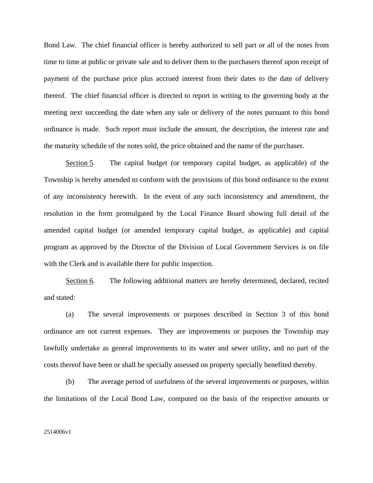Bond Law. The chief financial officer is hereby authorized to sell part or all of the notes from time to time at public or private sale and to deliver them to the purchasers thereof upon receipt of payment of the purchase price plus accrued interest from their dates to the date of delivery thereof. The chief financial officer is directed to report in writing to the governing body at the meeting next succeeding the date when any sale or delivery of the notes pursuant to this bond ordinance is made. Such report must include the amount, the description, the interest rate and the maturity schedule of the notes sold, the price obtained and the name of the purchaser.

Section 5. The capital budget (or temporary capital budget, as applicable) of the Township is hereby amended to conform with the provisions of this bond ordinance to the extent of any inconsistency herewith. In the event of any such inconsistency and amendment, the resolution in the form promulgated by the Local Finance Board showing full detail of the amended capital budget (or amended temporary capital budget, as applicable) and capital program as approved by the Director of the Division of Local Government Services is on file with the Clerk and is available there for public inspection.

Section 6. The following additional matters are hereby determined, declared, recited and stated:

(a) The several improvements or purposes described in Section 3 of this bond ordinance are not current expenses. They are improvements or purposes the Township may lawfully undertake as general improvements to its water and sewer utility, and no part of the costs thereof have been or shall be specially assessed on property specially benefited thereby.

(b) The average period of usefulness of the several improvements or purposes, within the limitations of the Local Bond Law, computed on the basis of the respective amounts or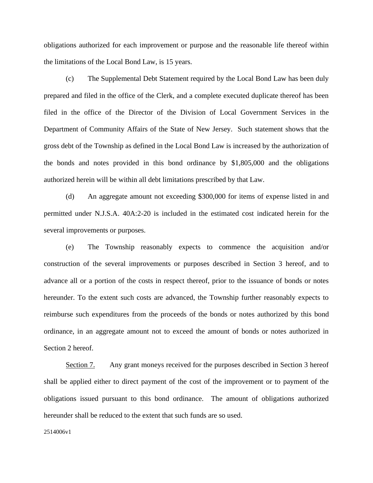obligations authorized for each improvement or purpose and the reasonable life thereof within the limitations of the Local Bond Law, is 15 years.

(c) The Supplemental Debt Statement required by the Local Bond Law has been duly prepared and filed in the office of the Clerk, and a complete executed duplicate thereof has been filed in the office of the Director of the Division of Local Government Services in the Department of Community Affairs of the State of New Jersey. Such statement shows that the gross debt of the Township as defined in the Local Bond Law is increased by the authorization of the bonds and notes provided in this bond ordinance by \$1,805,000 and the obligations authorized herein will be within all debt limitations prescribed by that Law.

(d) An aggregate amount not exceeding \$300,000 for items of expense listed in and permitted under N.J.S.A. 40A:2-20 is included in the estimated cost indicated herein for the several improvements or purposes.

(e) The Township reasonably expects to commence the acquisition and/or construction of the several improvements or purposes described in Section 3 hereof, and to advance all or a portion of the costs in respect thereof, prior to the issuance of bonds or notes hereunder. To the extent such costs are advanced, the Township further reasonably expects to reimburse such expenditures from the proceeds of the bonds or notes authorized by this bond ordinance, in an aggregate amount not to exceed the amount of bonds or notes authorized in Section 2 hereof.

Section 7. Any grant moneys received for the purposes described in Section 3 hereof shall be applied either to direct payment of the cost of the improvement or to payment of the obligations issued pursuant to this bond ordinance. The amount of obligations authorized hereunder shall be reduced to the extent that such funds are so used.

2514006v1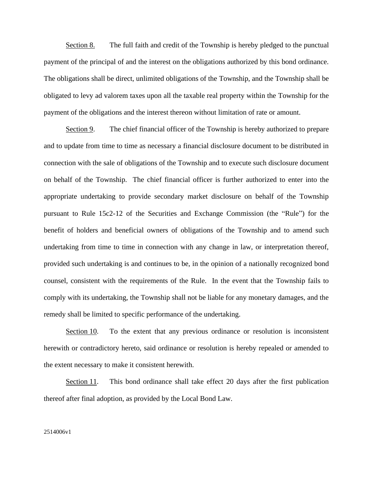Section 8. The full faith and credit of the Township is hereby pledged to the punctual payment of the principal of and the interest on the obligations authorized by this bond ordinance. The obligations shall be direct, unlimited obligations of the Township, and the Township shall be obligated to levy ad valorem taxes upon all the taxable real property within the Township for the payment of the obligations and the interest thereon without limitation of rate or amount.

Section 9. The chief financial officer of the Township is hereby authorized to prepare and to update from time to time as necessary a financial disclosure document to be distributed in connection with the sale of obligations of the Township and to execute such disclosure document on behalf of the Township. The chief financial officer is further authorized to enter into the appropriate undertaking to provide secondary market disclosure on behalf of the Township pursuant to Rule 15c2-12 of the Securities and Exchange Commission (the "Rule") for the benefit of holders and beneficial owners of obligations of the Township and to amend such undertaking from time to time in connection with any change in law, or interpretation thereof, provided such undertaking is and continues to be, in the opinion of a nationally recognized bond counsel, consistent with the requirements of the Rule. In the event that the Township fails to comply with its undertaking, the Township shall not be liable for any monetary damages, and the remedy shall be limited to specific performance of the undertaking.

Section 10. To the extent that any previous ordinance or resolution is inconsistent herewith or contradictory hereto, said ordinance or resolution is hereby repealed or amended to the extent necessary to make it consistent herewith.

Section 11. This bond ordinance shall take effect 20 days after the first publication thereof after final adoption, as provided by the Local Bond Law.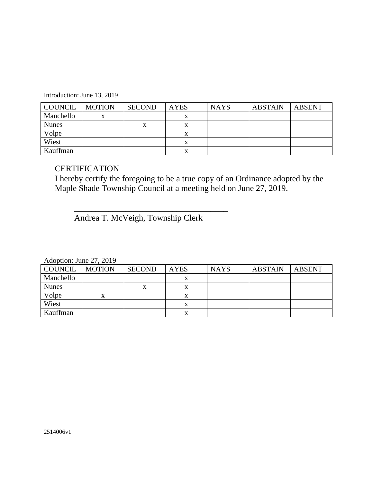Introduction: June 13, 2019

| COUNCIL      | <b>MOTION</b> | <b>SECOND</b> | <b>AYES</b> | <b>NAYS</b> | <b>ABSTAIN</b> | <b>ABSENT</b> |
|--------------|---------------|---------------|-------------|-------------|----------------|---------------|
| Manchello    | л             |               | л           |             |                |               |
| <b>Nunes</b> |               | x             | X           |             |                |               |
| Volpe        |               |               |             |             |                |               |
| Wiest        |               |               |             |             |                |               |
| Kauffman     |               |               |             |             |                |               |

## **CERTIFICATION**

I hereby certify the foregoing to be a true copy of an Ordinance adopted by the Maple Shade Township Council at a meeting held on June 27, 2019.

Andrea T. McVeigh, Township Clerk

 $\overline{\phantom{a}}$  ,  $\overline{\phantom{a}}$  ,  $\overline{\phantom{a}}$  ,  $\overline{\phantom{a}}$  ,  $\overline{\phantom{a}}$  ,  $\overline{\phantom{a}}$  ,  $\overline{\phantom{a}}$  ,  $\overline{\phantom{a}}$  ,  $\overline{\phantom{a}}$  ,  $\overline{\phantom{a}}$  ,  $\overline{\phantom{a}}$  ,  $\overline{\phantom{a}}$  ,  $\overline{\phantom{a}}$  ,  $\overline{\phantom{a}}$  ,  $\overline{\phantom{a}}$  ,  $\overline{\phantom{a}}$ 

Adoption: June 27, 2019

| COUNCIL      | <b>MOTION</b> | <b>SECOND</b> | <b>AYES</b> | <b>NAYS</b> | <b>ABSTAIN</b> | <b>ABSENT</b> |
|--------------|---------------|---------------|-------------|-------------|----------------|---------------|
| Manchello    |               |               |             |             |                |               |
| <b>Nunes</b> |               |               | л           |             |                |               |
| Volpe        |               |               |             |             |                |               |
| Wiest        |               |               | x           |             |                |               |
| Kauffman     |               |               |             |             |                |               |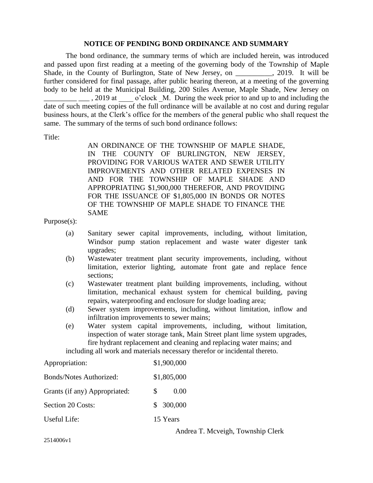#### **NOTICE OF PENDING BOND ORDINANCE AND SUMMARY**

The bond ordinance, the summary terms of which are included herein, was introduced and passed upon first reading at a meeting of the governing body of the Township of Maple Shade, in the County of Burlington, State of New Jersey, on \_\_\_\_\_\_\_\_\_, 2019. It will be further considered for final passage, after public hearing thereon, at a meeting of the governing body to be held at the Municipal Building, 200 Stiles Avenue, Maple Shade, New Jersey on  $\sim$ , 2019 at o'clock M. During the week prior to and up to and including the date of such meeting copies of the full ordinance will be available at no cost and during regular business hours, at the Clerk's office for the members of the general public who shall request the same. The summary of the terms of such bond ordinance follows:

Title:

AN ORDINANCE OF THE TOWNSHIP OF MAPLE SHADE, IN THE COUNTY OF BURLINGTON, NEW JERSEY, PROVIDING FOR VARIOUS WATER AND SEWER UTILITY IMPROVEMENTS AND OTHER RELATED EXPENSES IN AND FOR THE TOWNSHIP OF MAPLE SHADE AND APPROPRIATING \$1,900,000 THEREFOR, AND PROVIDING FOR THE ISSUANCE OF \$1,805,000 IN BONDS OR NOTES OF THE TOWNSHIP OF MAPLE SHADE TO FINANCE THE SAME

Purpose(s):

- (a) Sanitary sewer capital improvements, including, without limitation, Windsor pump station replacement and waste water digester tank upgrades;
- (b) Wastewater treatment plant security improvements, including, without limitation, exterior lighting, automate front gate and replace fence sections;
- (c) Wastewater treatment plant building improvements, including, without limitation, mechanical exhaust system for chemical building, paving repairs, waterproofing and enclosure for sludge loading area;
- (d) Sewer system improvements, including, without limitation, inflow and infiltration improvements to sewer mains;
- (e) Water system capital improvements, including, without limitation, inspection of water storage tank, Main Street plant lime system upgrades, fire hydrant replacement and cleaning and replacing water mains; and

including all work and materials necessary therefor or incidental thereto.

| Appropriation:                 | \$1,900,000                       |
|--------------------------------|-----------------------------------|
| <b>Bonds/Notes Authorized:</b> | \$1,805,000                       |
| Grants (if any) Appropriated:  | 0.00<br>\$                        |
| Section 20 Costs:              | \$300,000                         |
| Useful Life:                   | 15 Years                          |
|                                | Andrea T. Mcveigh, Township Clerk |

2514006v1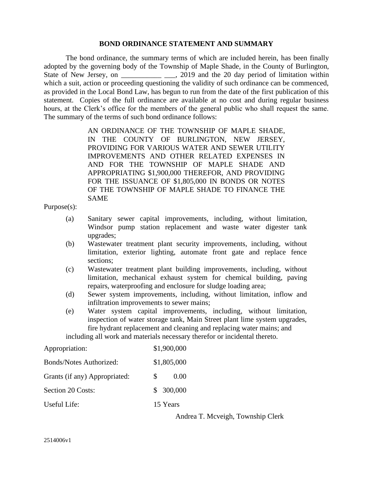#### **BOND ORDINANCE STATEMENT AND SUMMARY**

The bond ordinance, the summary terms of which are included herein, has been finally adopted by the governing body of the Township of Maple Shade, in the County of Burlington, State of New Jersey, on  $\qquad \qquad$ , 2019 and the 20 day period of limitation within which a suit, action or proceeding questioning the validity of such ordinance can be commenced, as provided in the Local Bond Law, has begun to run from the date of the first publication of this statement. Copies of the full ordinance are available at no cost and during regular business hours, at the Clerk's office for the members of the general public who shall request the same. The summary of the terms of such bond ordinance follows:

> AN ORDINANCE OF THE TOWNSHIP OF MAPLE SHADE, IN THE COUNTY OF BURLINGTON, NEW JERSEY, PROVIDING FOR VARIOUS WATER AND SEWER UTILITY IMPROVEMENTS AND OTHER RELATED EXPENSES IN AND FOR THE TOWNSHIP OF MAPLE SHADE AND APPROPRIATING \$1,900,000 THEREFOR, AND PROVIDING FOR THE ISSUANCE OF \$1,805,000 IN BONDS OR NOTES OF THE TOWNSHIP OF MAPLE SHADE TO FINANCE THE SAME

Purpose(s):

- (a) Sanitary sewer capital improvements, including, without limitation, Windsor pump station replacement and waste water digester tank upgrades;
- (b) Wastewater treatment plant security improvements, including, without limitation, exterior lighting, automate front gate and replace fence sections;
- (c) Wastewater treatment plant building improvements, including, without limitation, mechanical exhaust system for chemical building, paving repairs, waterproofing and enclosure for sludge loading area;
- (d) Sewer system improvements, including, without limitation, inflow and infiltration improvements to sewer mains;
- (e) Water system capital improvements, including, without limitation, inspection of water storage tank, Main Street plant lime system upgrades, fire hydrant replacement and cleaning and replacing water mains; and

including all work and materials necessary therefor or incidental thereto.

| Appropriation:                 | \$1,900,000 |
|--------------------------------|-------------|
| <b>Bonds/Notes Authorized:</b> | \$1,805,000 |
| Grants (if any) Appropriated:  | 0.00<br>S   |
| Section 20 Costs:              | \$300,000   |
| Useful Life:                   | 15 Years    |

Andrea T. Mcveigh, Township Clerk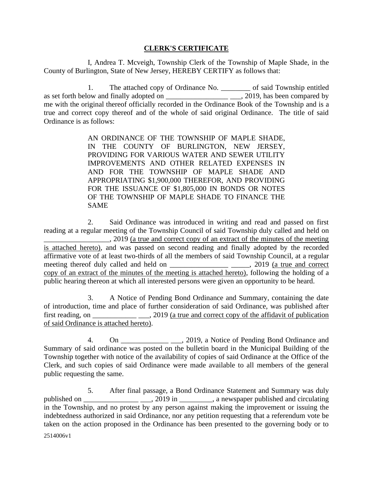#### **CLERK'S CERTIFICATE**

I, Andrea T. Mcveigh, Township Clerk of the Township of Maple Shade, in the County of Burlington, State of New Jersey, HEREBY CERTIFY as follows that:

1. The attached copy of Ordinance No. \_\_\_\_\_\_\_\_ of said Township entitled as set forth below and finally adopted on \_\_\_\_\_\_\_\_\_\_\_\_\_\_\_\_\_\_\_\_\_\_\_\_\_\_, 2019, has been compared by me with the original thereof officially recorded in the Ordinance Book of the Township and is a true and correct copy thereof and of the whole of said original Ordinance. The title of said Ordinance is as follows:

> AN ORDINANCE OF THE TOWNSHIP OF MAPLE SHADE, IN THE COUNTY OF BURLINGTON, NEW JERSEY, PROVIDING FOR VARIOUS WATER AND SEWER UTILITY IMPROVEMENTS AND OTHER RELATED EXPENSES IN AND FOR THE TOWNSHIP OF MAPLE SHADE AND APPROPRIATING \$1,900,000 THEREFOR, AND PROVIDING FOR THE ISSUANCE OF \$1,805,000 IN BONDS OR NOTES OF THE TOWNSHIP OF MAPLE SHADE TO FINANCE THE SAME

2. Said Ordinance was introduced in writing and read and passed on first reading at a regular meeting of the Township Council of said Township duly called and held on \_\_\_\_\_\_\_\_\_\_\_\_\_\_\_\_\_\_, 2019 (a true and correct copy of an extract of the minutes of the meeting is attached hereto), and was passed on second reading and finally adopted by the recorded affirmative vote of at least two-thirds of all the members of said Township Council, at a regular meeting thereof duly called and held on \_\_\_\_\_\_\_\_\_\_\_\_\_\_\_\_\_\_\_\_\_\_\_\_\_\_, 2019 (a true and correct copy of an extract of the minutes of the meeting is attached hereto), following the holding of a public hearing thereon at which all interested persons were given an opportunity to be heard.

3. A Notice of Pending Bond Ordinance and Summary, containing the date of introduction, time and place of further consideration of said Ordinance, was published after first reading, on \_\_\_\_\_\_\_\_\_\_\_\_\_\_\_\_\_, 2019 (a true and correct copy of the affidavit of publication of said Ordinance is attached hereto).

4. On \_\_\_\_\_\_\_\_\_\_\_\_\_\_\_\_\_\_\_\_\_, 2019, a Notice of Pending Bond Ordinance and Summary of said ordinance was posted on the bulletin board in the Municipal Building of the Township together with notice of the availability of copies of said Ordinance at the Office of the Clerk, and such copies of said Ordinance were made available to all members of the general public requesting the same.

2514006v1 5. After final passage, a Bond Ordinance Statement and Summary was duly published on \_\_\_\_\_\_\_\_\_\_\_\_\_\_\_\_\_\_\_\_\_\_\_, 2019 in \_\_\_\_\_\_\_\_\_, a newspaper published and circulating in the Township, and no protest by any person against making the improvement or issuing the indebtedness authorized in said Ordinance, nor any petition requesting that a referendum vote be taken on the action proposed in the Ordinance has been presented to the governing body or to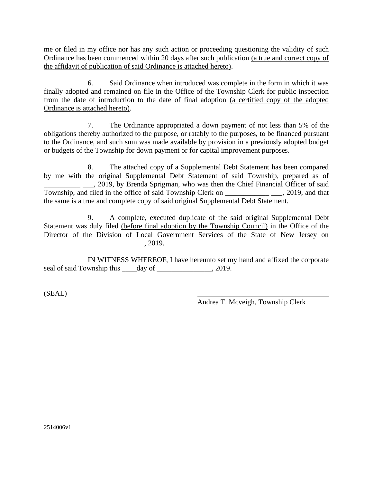me or filed in my office nor has any such action or proceeding questioning the validity of such Ordinance has been commenced within 20 days after such publication (a true and correct copy of the affidavit of publication of said Ordinance is attached hereto).

6. Said Ordinance when introduced was complete in the form in which it was finally adopted and remained on file in the Office of the Township Clerk for public inspection from the date of introduction to the date of final adoption (a certified copy of the adopted Ordinance is attached hereto).

7. The Ordinance appropriated a down payment of not less than 5% of the obligations thereby authorized to the purpose, or ratably to the purposes, to be financed pursuant to the Ordinance, and such sum was made available by provision in a previously adopted budget or budgets of the Township for down payment or for capital improvement purposes.

8. The attached copy of a Supplemental Debt Statement has been compared by me with the original Supplemental Debt Statement of said Township, prepared as of <sup>11</sup> \_\_\_\_\_, 2019, by Brenda Sprigman, who was then the Chief Financial Officer of said Township, and filed in the office of said Township Clerk on 2019, and that the same is a true and complete copy of said original Supplemental Debt Statement.

9. A complete, executed duplicate of the said original Supplemental Debt Statement was duly filed (before final adoption by the Township Council) in the Office of the Director of the Division of Local Government Services of the State of New Jersey on  $\frac{\phantom{0}}{\phantom{0}}$  , 2019.

IN WITNESS WHEREOF, I have hereunto set my hand and affixed the corporate seal of said Township this \_\_\_\_day of \_\_\_\_\_\_\_\_\_\_\_\_, 2019.

(SEAL)

Andrea T. Mcveigh, Township Clerk